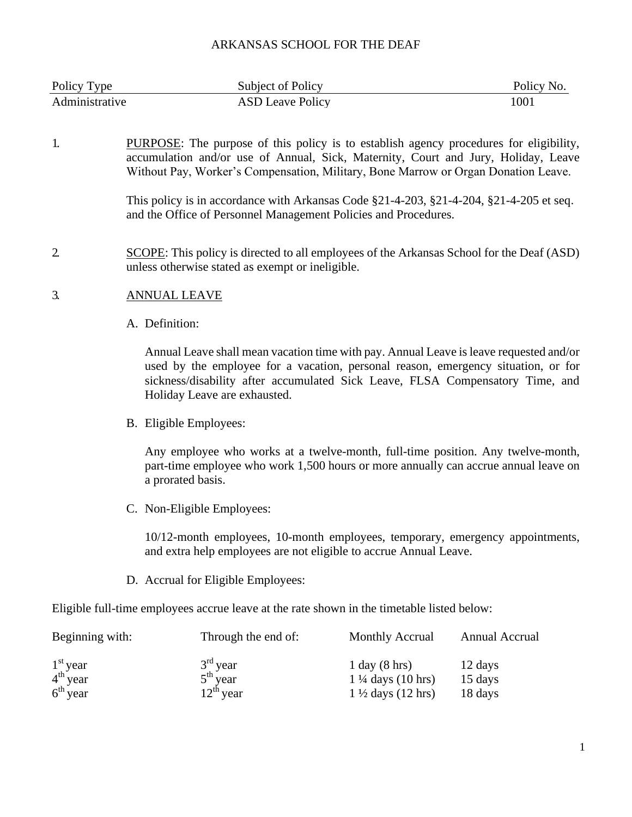| Policy Type    | Subject of Policy       | Policy No. |
|----------------|-------------------------|------------|
| Administrative | <b>ASD Leave Policy</b> | 1001       |

1. PURPOSE: The purpose of this policy is to establish agency procedures for eligibility, accumulation and/or use of Annual, Sick, Maternity, Court and Jury, Holiday, Leave Without Pay, Worker's Compensation, Military, Bone Marrow or Organ Donation Leave.

> This policy is in accordance with Arkansas Code §21-4-203, §21-4-204, §21-4-205 et seq. and the Office of Personnel Management Policies and Procedures.

2. SCOPE: This policy is directed to all employees of the Arkansas School for the Deaf (ASD) unless otherwise stated as exempt or ineligible.

#### 3. ANNUAL LEAVE

A. Definition:

Annual Leave shall mean vacation time with pay. Annual Leave is leave requested and/or used by the employee for a vacation, personal reason, emergency situation, or for sickness/disability after accumulated Sick Leave, FLSA Compensatory Time, and Holiday Leave are exhausted.

B. Eligible Employees:

Any employee who works at a twelve-month, full-time position. Any twelve-month, part-time employee who work 1,500 hours or more annually can accrue annual leave on a prorated basis.

C. Non-Eligible Employees:

10/12-month employees, 10-month employees, temporary, emergency appointments, and extra help employees are not eligible to accrue Annual Leave.

D. Accrual for Eligible Employees:

Eligible full-time employees accrue leave at the rate shown in the timetable listed below:

| Beginning with:                    | Through the end of:      | <b>Monthly Accrual</b>                                    | Annual Accrual     |
|------------------------------------|--------------------------|-----------------------------------------------------------|--------------------|
| $1st$ year<br>4 <sup>th</sup> year | $3rd$ year<br>$5th$ year | $1$ day $(8 \text{ hrs})$<br>$1\frac{1}{4}$ days (10 hrs) | 12 days<br>15 days |
| $6th$ year                         | $12^{th}$ year           | $1\frac{1}{2}$ days (12 hrs)                              | 18 days            |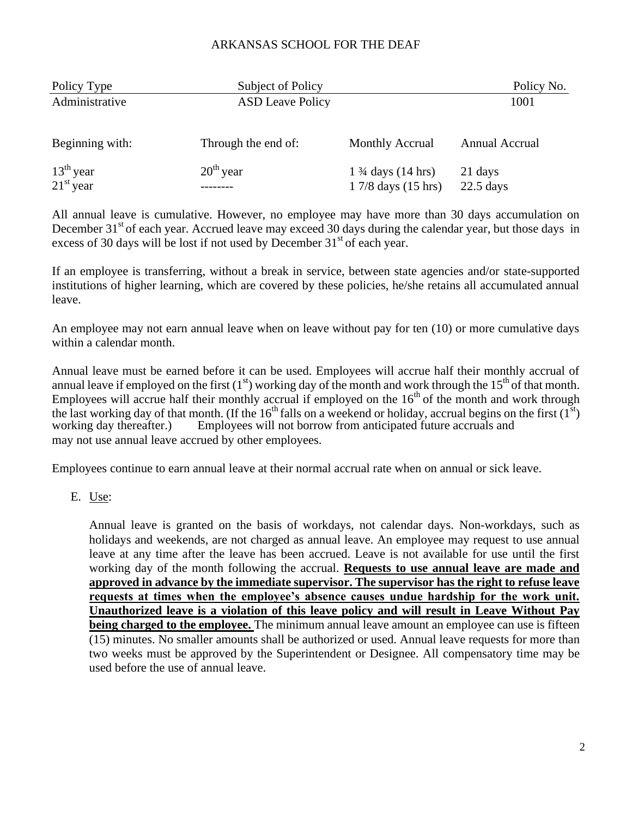| Policy Type                             | Subject of Policy       |                              | Policy No.     |
|-----------------------------------------|-------------------------|------------------------------|----------------|
| Administrative                          | <b>ASD Leave Policy</b> |                              | 1001           |
|                                         |                         |                              |                |
| Beginning with:                         | Through the end of:     | Monthly Accrual              | Annual Accrual |
|                                         | $20th$ year             | $1\frac{3}{4}$ days (14 hrs) | 21 days        |
| $13^{th}$ year<br>21 <sup>st</sup> year |                         | 1 7/8 days (15 hrs)          | $22.5$ days    |

All annual leave is cumulative. However, no employee may have more than 30 days accumulation on December  $31<sup>st</sup>$  of each year. Accrued leave may exceed 30 days during the calendar year, but those days in excess of 30 days will be lost if not used by December  $31<sup>st</sup>$  of each year.

If an employee is transferring, without a break in service, between state agencies and/or state-supported institutions of higher learning, which are covered by these policies, he/she retains all accumulated annual leave.

An employee may not earn annual leave when on leave without pay for ten (10) or more cumulative days within a calendar month.

Annual leave must be earned before it can be used. Employees will accrue half their monthly accrual of annual leave if employed on the first  $(1<sup>st</sup>)$  working day of the month and work through the  $15<sup>th</sup>$  of that month. Employees will accrue half their monthly accrual if employed on the  $16<sup>th</sup>$  of the month and work through the last working day of that month. (If the  $16<sup>th</sup>$  falls on a weekend or holiday, accrual begins on the first  $(1<sup>st</sup>)$  working day thereafter.) Employees will not borrow from anticipated future accruals and Employees will not borrow from anticipated future accruals and may not use annual leave accrued by other employees.

Employees continue to earn annual leave at their normal accrual rate when on annual or sick leave.

E. Use:

Annual leave is granted on the basis of workdays, not calendar days. Non-workdays, such as holidays and weekends, are not charged as annual leave. An employee may request to use annual leave at any time after the leave has been accrued. Leave is not available for use until the first working day of the month following the accrual. **Requests to use annual leave are made and approved in advance by the immediate supervisor. The supervisor has the right to refuse leave requests at times when the employee's absence causes undue hardship for the work unit. Unauthorized leave is a violation of this leave policy and will result in Leave Without Pay being charged to the employee.** The minimum annual leave amount an employee can use is fifteen (15) minutes. No smaller amounts shall be authorized or used. Annual leave requests for more than two weeks must be approved by the Superintendent or Designee. All compensatory time may be used before the use of annual leave.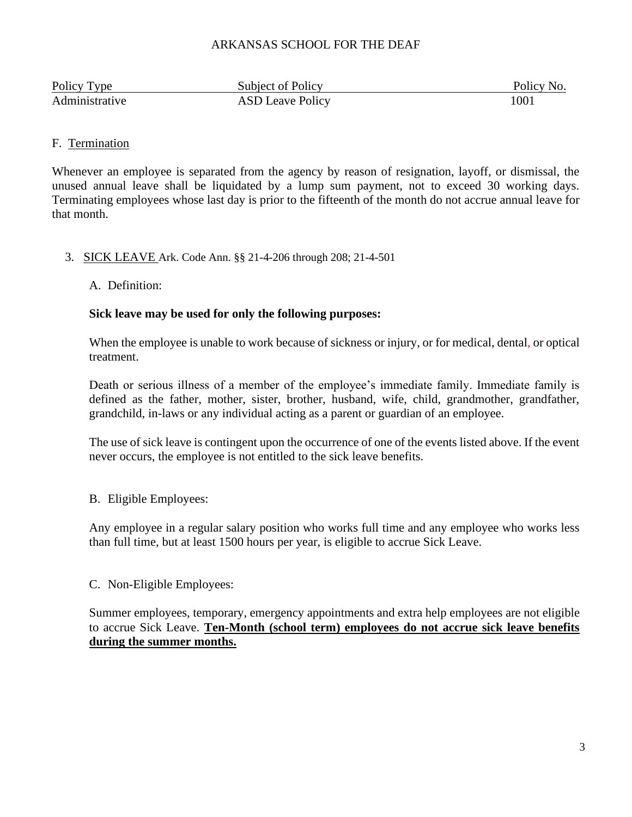| Policy Type    | Subject of Policy       | Policy No. |
|----------------|-------------------------|------------|
| Administrative | <b>ASD Leave Policy</b> | 100        |

# F. Termination

Whenever an employee is separated from the agency by reason of resignation, layoff, or dismissal, the unused annual leave shall be liquidated by a lump sum payment, not to exceed 30 working days. Terminating employees whose last day is prior to the fifteenth of the month do not accrue annual leave for that month.

# 3. SICK LEAVE Ark. Code Ann. §§ 21-4-206 through 208; 21-4-501

### A. Definition:

#### **Sick leave may be used for only the following purposes:**

When the employee is unable to work because of sickness or injury, or for medical, dental, or optical treatment.

Death or serious illness of a member of the employee's immediate family. Immediate family is defined as the father, mother, sister, brother, husband, wife, child, grandmother, grandfather, grandchild, in-laws or any individual acting as a parent or guardian of an employee.

The use of sick leave is contingent upon the occurrence of one of the events listed above. If the event never occurs, the employee is not entitled to the sick leave benefits.

### B. Eligible Employees:

Any employee in a regular salary position who works full time and any employee who works less than full time, but at least 1500 hours per year, is eligible to accrue Sick Leave.

### C. Non-Eligible Employees:

Summer employees, temporary, emergency appointments and extra help employees are not eligible to accrue Sick Leave. **Ten-Month (school term) employees do not accrue sick leave benefits during the summer months.**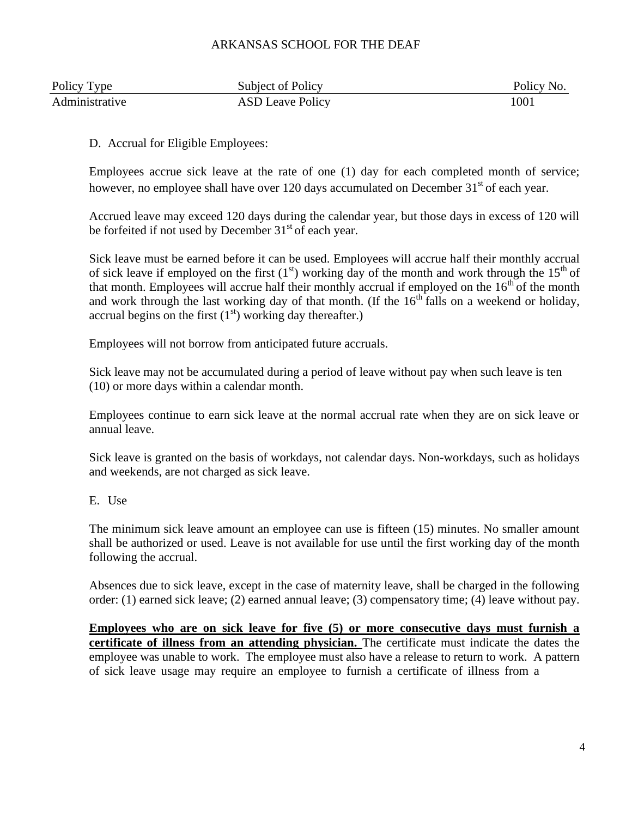| Policy Type    | Subject of Policy       | Policy No. |
|----------------|-------------------------|------------|
| Administrative | <b>ASD Leave Policy</b> | 1001       |

# D. Accrual for Eligible Employees:

Employees accrue sick leave at the rate of one (1) day for each completed month of service; however, no employee shall have over 120 days accumulated on December  $31<sup>st</sup>$  of each year.

Accrued leave may exceed 120 days during the calendar year, but those days in excess of 120 will be forfeited if not used by December  $31<sup>st</sup>$  of each year.

Sick leave must be earned before it can be used. Employees will accrue half their monthly accrual of sick leave if employed on the first  $(1<sup>st</sup>)$  working day of the month and work through the  $15<sup>th</sup>$  of that month. Employees will accrue half their monthly accrual if employed on the  $16<sup>th</sup>$  of the month and work through the last working day of that month. (If the  $16<sup>th</sup>$  falls on a weekend or holiday, accrual begins on the first  $(1<sup>st</sup>)$  working day thereafter.)

Employees will not borrow from anticipated future accruals.

Sick leave may not be accumulated during a period of leave without pay when such leave is ten (10) or more days within a calendar month.

Employees continue to earn sick leave at the normal accrual rate when they are on sick leave or annual leave.

Sick leave is granted on the basis of workdays, not calendar days. Non-workdays, such as holidays and weekends, are not charged as sick leave.

E. Use

The minimum sick leave amount an employee can use is fifteen (15) minutes. No smaller amount shall be authorized or used. Leave is not available for use until the first working day of the month following the accrual.

Absences due to sick leave, except in the case of maternity leave, shall be charged in the following order: (1) earned sick leave; (2) earned annual leave; (3) compensatory time; (4) leave without pay.

**Employees who are on sick leave for five (5) or more consecutive days must furnish a certificate of illness from an attending physician.** The certificate must indicate the dates the employee was unable to work. The employee must also have a release to return to work. A pattern of sick leave usage may require an employee to furnish a certificate of illness from a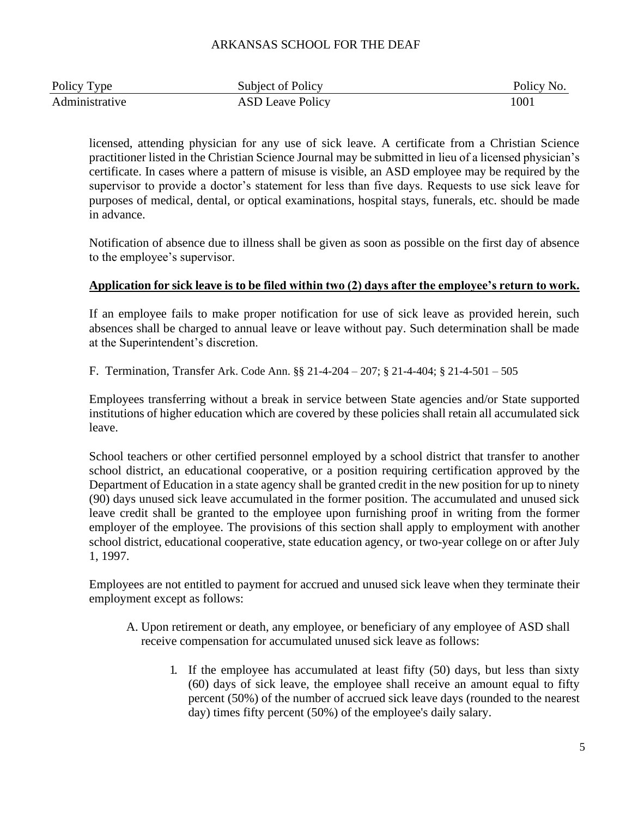| Policy Type    | Subject of Policy       | Policy No. |
|----------------|-------------------------|------------|
| Administrative | <b>ASD Leave Policy</b> | 100.       |

licensed, attending physician for any use of sick leave. A certificate from a Christian Science practitioner listed in the Christian Science Journal may be submitted in lieu of a licensed physician's certificate. In cases where a pattern of misuse is visible, an ASD employee may be required by the supervisor to provide a doctor's statement for less than five days. Requests to use sick leave for purposes of medical, dental, or optical examinations, hospital stays, funerals, etc. should be made in advance.

Notification of absence due to illness shall be given as soon as possible on the first day of absence to the employee's supervisor.

# **Application for sick leave is to be filed within two (2) days after the employee's return to work.**

If an employee fails to make proper notification for use of sick leave as provided herein, such absences shall be charged to annual leave or leave without pay. Such determination shall be made at the Superintendent's discretion.

F. Termination, Transfer Ark. Code Ann. §§ 21-4-204 – 207; § 21-4-404; § 21-4-501 – 505

Employees transferring without a break in service between State agencies and/or State supported institutions of higher education which are covered by these policies shall retain all accumulated sick leave.

School teachers or other certified personnel employed by a school district that transfer to another school district, an educational cooperative, or a position requiring certification approved by the Department of Education in a state agency shall be granted credit in the new position for up to ninety (90) days unused sick leave accumulated in the former position. The accumulated and unused sick leave credit shall be granted to the employee upon furnishing proof in writing from the former employer of the employee. The provisions of this section shall apply to employment with another school district, educational cooperative, state education agency, or two-year college on or after July 1, 1997.

Employees are not entitled to payment for accrued and unused sick leave when they terminate their employment except as follows:

- A. Upon retirement or death, any employee, or beneficiary of any employee of ASD shall receive compensation for accumulated unused sick leave as follows:
	- 1. If the employee has accumulated at least fifty (50) days, but less than sixty (60) days of sick leave, the employee shall receive an amount equal to fifty percent (50%) of the number of accrued sick leave days (rounded to the nearest day) times fifty percent (50%) of the employee's daily salary.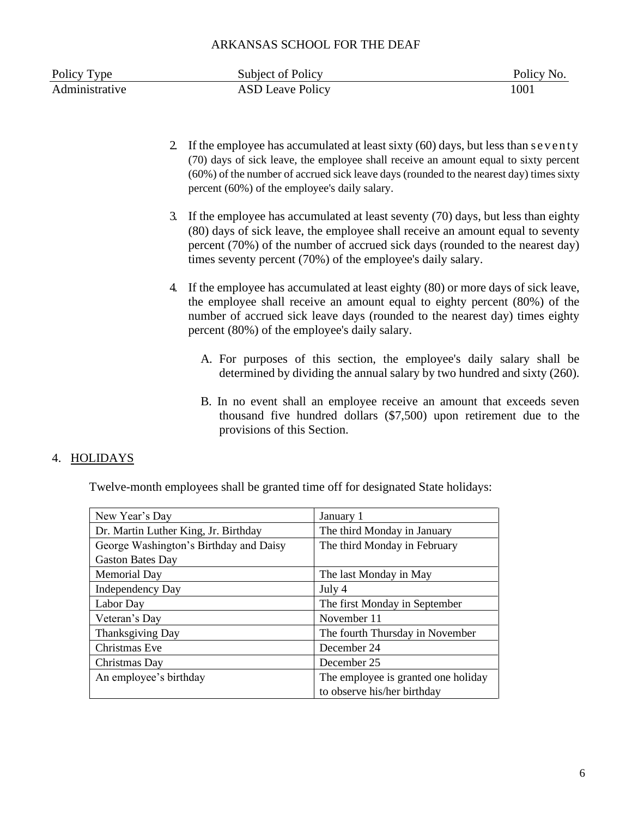| Policy Type    | Subject of Policy       | Policy No. |
|----------------|-------------------------|------------|
| Administrative | <b>ASD Leave Policy</b> | 1001       |

- 2. If the employee has accumulated at least sixty (60) days, but less than s e v e n ty (70) days of sick leave, the employee shall receive an amount equal to sixty percent (60%) of the number of accrued sick leave days (rounded to the nearest day) times sixty percent (60%) of the employee's daily salary.
- 3. If the employee has accumulated at least seventy (70) days, but less than eighty (80) days of sick leave, the employee shall receive an amount equal to seventy percent (70%) of the number of accrued sick days (rounded to the nearest day) times seventy percent (70%) of the employee's daily salary.
- 4. If the employee has accumulated at least eighty (80) or more days of sick leave, the employee shall receive an amount equal to eighty percent (80%) of the number of accrued sick leave days (rounded to the nearest day) times eighty percent (80%) of the employee's daily salary.
	- A. For purposes of this section, the employee's daily salary shall be determined by dividing the annual salary by two hundred and sixty (260).
	- B. In no event shall an employee receive an amount that exceeds seven thousand five hundred dollars (\$7,500) upon retirement due to the provisions of this Section.

### 4. HOLIDAYS

Twelve-month employees shall be granted time off for designated State holidays:

| New Year's Day                         | January 1                           |
|----------------------------------------|-------------------------------------|
| Dr. Martin Luther King, Jr. Birthday   | The third Monday in January         |
| George Washington's Birthday and Daisy | The third Monday in February        |
| <b>Gaston Bates Day</b>                |                                     |
| <b>Memorial Day</b>                    | The last Monday in May              |
| <b>Independency Day</b>                | July 4                              |
| Labor Day                              | The first Monday in September       |
| Veteran's Day                          | November 11                         |
| Thanksgiving Day                       | The fourth Thursday in November     |
| Christmas Eve                          | December 24                         |
| Christmas Day                          | December 25                         |
| An employee's birthday                 | The employee is granted one holiday |
|                                        | to observe his/her birthday         |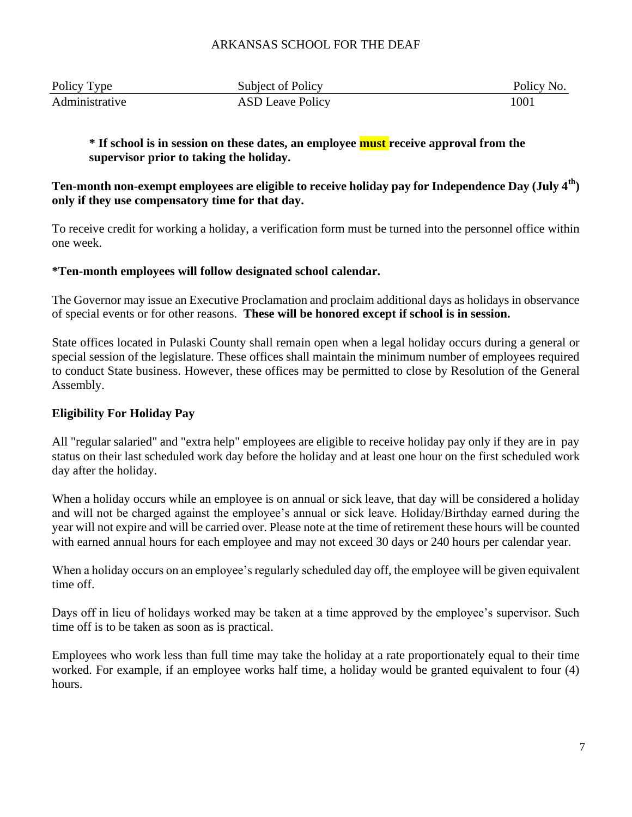| Policy Type    | Subject of Policy       | Policy No. |
|----------------|-------------------------|------------|
| Administrative | <b>ASD Leave Policy</b> | 1001       |

# **\* If school is in session on these dates, an employee must receive approval from the supervisor prior to taking the holiday.**

# **Ten-month non-exempt employees are eligible to receive holiday pay for Independence Day (July 4th) only if they use compensatory time for that day.**

To receive credit for working a holiday, a verification form must be turned into the personnel office within one week.

# **\*Ten-month employees will follow designated school calendar.**

The Governor may issue an Executive Proclamation and proclaim additional days as holidays in observance of special events or for other reasons. **These will be honored except if school is in session.**

State offices located in Pulaski County shall remain open when a legal holiday occurs during a general or special session of the legislature. These offices shall maintain the minimum number of employees required to conduct State business. However, these offices may be permitted to close by Resolution of the General Assembly.

# **Eligibility For Holiday Pay**

All "regular salaried" and "extra help" employees are eligible to receive holiday pay only if they are in pay status on their last scheduled work day before the holiday and at least one hour on the first scheduled work day after the holiday.

When a holiday occurs while an employee is on annual or sick leave, that day will be considered a holiday and will not be charged against the employee's annual or sick leave. Holiday/Birthday earned during the year will not expire and will be carried over. Please note at the time of retirement these hours will be counted with earned annual hours for each employee and may not exceed 30 days or 240 hours per calendar year.

When a holiday occurs on an employee's regularly scheduled day off, the employee will be given equivalent time off.

Days off in lieu of holidays worked may be taken at a time approved by the employee's supervisor. Such time off is to be taken as soon as is practical.

Employees who work less than full time may take the holiday at a rate proportionately equal to their time worked. For example, if an employee works half time, a holiday would be granted equivalent to four (4) hours.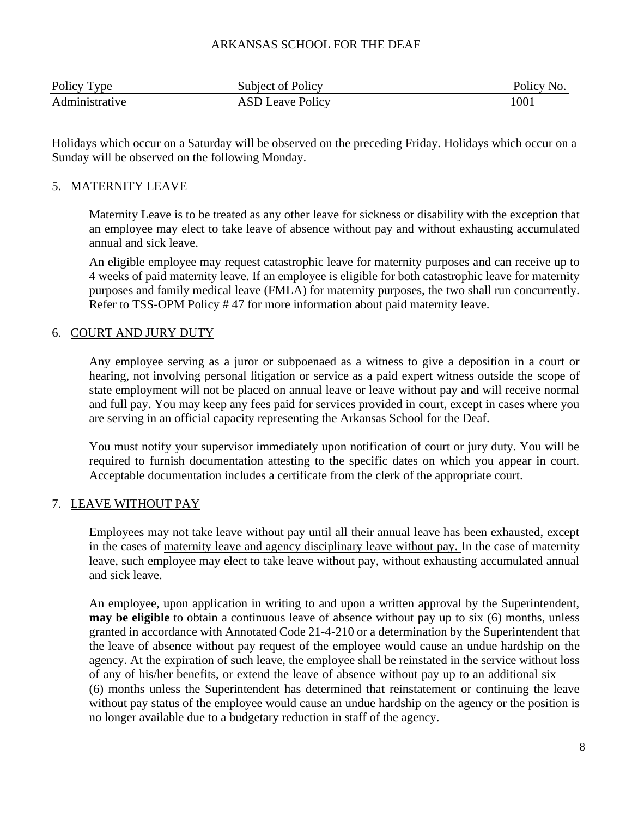| Policy Type    | Subject of Policy       | Policy No. |
|----------------|-------------------------|------------|
| Administrative | <b>ASD Leave Policy</b> | 1001       |

Holidays which occur on a Saturday will be observed on the preceding Friday. Holidays which occur on a Sunday will be observed on the following Monday.

#### 5. MATERNITY LEAVE

Maternity Leave is to be treated as any other leave for sickness or disability with the exception that an employee may elect to take leave of absence without pay and without exhausting accumulated annual and sick leave.

An eligible employee may request catastrophic leave for maternity purposes and can receive up to 4 weeks of paid maternity leave. If an employee is eligible for both catastrophic leave for maternity purposes and family medical leave (FMLA) for maternity purposes, the two shall run concurrently. Refer to TSS-OPM Policy # 47 for more information about paid maternity leave.

### 6. COURT AND JURY DUTY

Any employee serving as a juror or subpoenaed as a witness to give a deposition in a court or hearing, not involving personal litigation or service as a paid expert witness outside the scope of state employment will not be placed on annual leave or leave without pay and will receive normal and full pay. You may keep any fees paid for services provided in court, except in cases where you are serving in an official capacity representing the Arkansas School for the Deaf.

You must notify your supervisor immediately upon notification of court or jury duty. You will be required to furnish documentation attesting to the specific dates on which you appear in court. Acceptable documentation includes a certificate from the clerk of the appropriate court.

### 7. LEAVE WITHOUT PAY

Employees may not take leave without pay until all their annual leave has been exhausted, except in the cases of maternity leave and agency disciplinary leave without pay. In the case of maternity leave, such employee may elect to take leave without pay, without exhausting accumulated annual and sick leave.

An employee, upon application in writing to and upon a written approval by the Superintendent, **may be eligible** to obtain a continuous leave of absence without pay up to six (6) months, unless granted in accordance with Annotated Code 21-4-210 or a determination by the Superintendent that the leave of absence without pay request of the employee would cause an undue hardship on the agency. At the expiration of such leave, the employee shall be reinstated in the service without loss of any of his/her benefits, or extend the leave of absence without pay up to an additional six (6) months unless the Superintendent has determined that reinstatement or continuing the leave without pay status of the employee would cause an undue hardship on the agency or the position is no longer available due to a budgetary reduction in staff of the agency.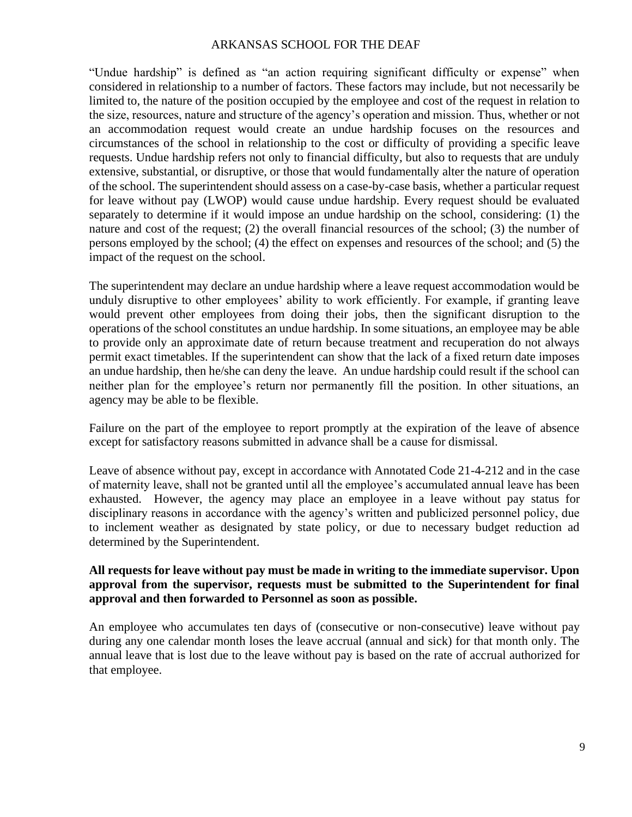"Undue hardship" is defined as "an action requiring significant difficulty or expense" when considered in relationship to a number of factors. These factors may include, but not necessarily be limited to, the nature of the position occupied by the employee and cost of the request in relation to the size, resources, nature and structure of the agency's operation and mission. Thus, whether or not an accommodation request would create an undue hardship focuses on the resources and circumstances of the school in relationship to the cost or difficulty of providing a specific leave requests. Undue hardship refers not only to financial difficulty, but also to requests that are unduly extensive, substantial, or disruptive, or those that would fundamentally alter the nature of operation of the school. The superintendent should assess on a case-by-case basis, whether a particular request for leave without pay (LWOP) would cause undue hardship. Every request should be evaluated separately to determine if it would impose an undue hardship on the school, considering: (1) the nature and cost of the request; (2) the overall financial resources of the school; (3) the number of persons employed by the school; (4) the effect on expenses and resources of the school; and (5) the impact of the request on the school.

The superintendent may declare an undue hardship where a leave request accommodation would be unduly disruptive to other employees' ability to work efficiently. For example, if granting leave would prevent other employees from doing their jobs, then the significant disruption to the operations of the school constitutes an undue hardship. In some situations, an employee may be able to provide only an approximate date of return because treatment and recuperation do not always permit exact timetables. If the superintendent can show that the lack of a fixed return date imposes an undue hardship, then he/she can deny the leave. An undue hardship could result if the school can neither plan for the employee's return nor permanently fill the position. In other situations, an agency may be able to be flexible.

Failure on the part of the employee to report promptly at the expiration of the leave of absence except for satisfactory reasons submitted in advance shall be a cause for dismissal.

Leave of absence without pay, except in accordance with Annotated Code 21-4-212 and in the case of maternity leave, shall not be granted until all the employee's accumulated annual leave has been exhausted. However, the agency may place an employee in a leave without pay status for disciplinary reasons in accordance with the agency's written and publicized personnel policy, due to inclement weather as designated by state policy, or due to necessary budget reduction ad determined by the Superintendent.

# **All requests for leave without pay must be made in writing to the immediate supervisor. Upon approval from the supervisor, requests must be submitted to the Superintendent for final approval and then forwarded to Personnel as soon as possible.**

An employee who accumulates ten days of (consecutive or non-consecutive) leave without pay during any one calendar month loses the leave accrual (annual and sick) for that month only. The annual leave that is lost due to the leave without pay is based on the rate of accrual authorized for that employee.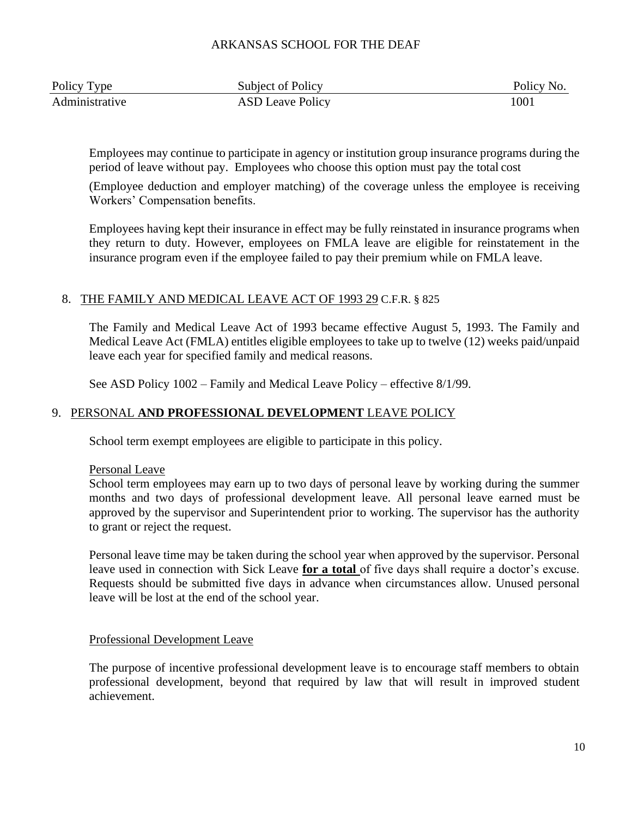| Policy Type    | Subject of Policy       | Policy No. |
|----------------|-------------------------|------------|
| Administrative | <b>ASD Leave Policy</b> | 1001       |

Employees may continue to participate in agency or institution group insurance programs during the period of leave without pay. Employees who choose this option must pay the total cost

(Employee deduction and employer matching) of the coverage unless the employee is receiving Workers' Compensation benefits.

Employees having kept their insurance in effect may be fully reinstated in insurance programs when they return to duty. However, employees on FMLA leave are eligible for reinstatement in the insurance program even if the employee failed to pay their premium while on FMLA leave.

# 8. THE FAMILY AND MEDICAL LEAVE ACT OF 1993 29 C.F.R. § 825

The Family and Medical Leave Act of 1993 became effective August 5, 1993. The Family and Medical Leave Act (FMLA) entitles eligible employees to take up to twelve (12) weeks paid/unpaid leave each year for specified family and medical reasons.

See ASD Policy 1002 – Family and Medical Leave Policy – effective 8/1/99.

# 9. PERSONAL **AND PROFESSIONAL DEVELOPMENT** LEAVE POLICY

School term exempt employees are eligible to participate in this policy.

Personal Leave

School term employees may earn up to two days of personal leave by working during the summer months and two days of professional development leave. All personal leave earned must be approved by the supervisor and Superintendent prior to working. The supervisor has the authority to grant or reject the request.

Personal leave time may be taken during the school year when approved by the supervisor. Personal leave used in connection with Sick Leave **for a total** of five days shall require a doctor's excuse. Requests should be submitted five days in advance when circumstances allow. Unused personal leave will be lost at the end of the school year.

### Professional Development Leave

The purpose of incentive professional development leave is to encourage staff members to obtain professional development, beyond that required by law that will result in improved student achievement.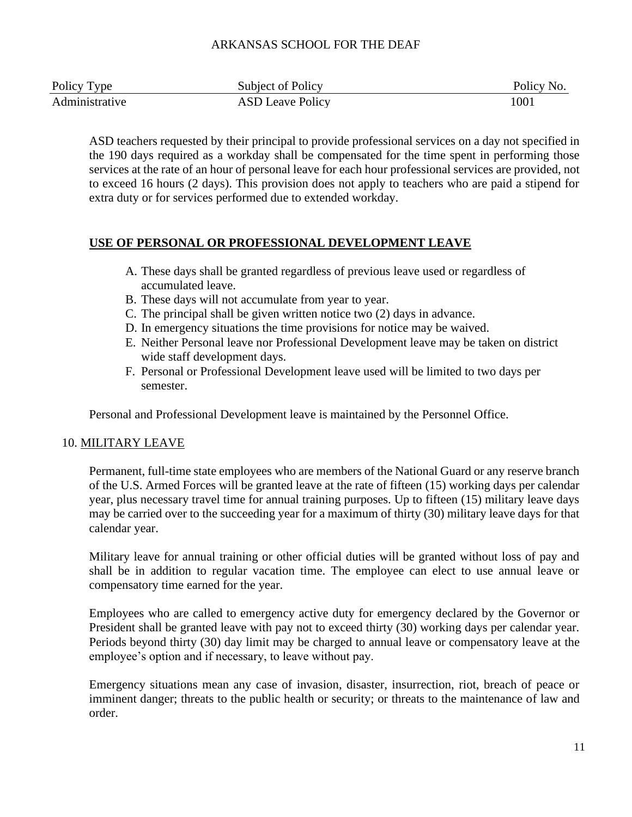| Policy Type    | Subject of Policy       | Policy No. |
|----------------|-------------------------|------------|
| Administrative | <b>ASD Leave Policy</b> | $100\,$    |

ASD teachers requested by their principal to provide professional services on a day not specified in the 190 days required as a workday shall be compensated for the time spent in performing those services at the rate of an hour of personal leave for each hour professional services are provided, not to exceed 16 hours (2 days). This provision does not apply to teachers who are paid a stipend for extra duty or for services performed due to extended workday.

### **USE OF PERSONAL OR PROFESSIONAL DEVELOPMENT LEAVE**

- A. These days shall be granted regardless of previous leave used or regardless of accumulated leave.
- B. These days will not accumulate from year to year.
- C. The principal shall be given written notice two (2) days in advance.
- D. In emergency situations the time provisions for notice may be waived.
- E. Neither Personal leave nor Professional Development leave may be taken on district wide staff development days.
- F. Personal or Professional Development leave used will be limited to two days per semester.

Personal and Professional Development leave is maintained by the Personnel Office.

# 10. MILITARY LEAVE

Permanent, full-time state employees who are members of the National Guard or any reserve branch of the U.S. Armed Forces will be granted leave at the rate of fifteen (15) working days per calendar year, plus necessary travel time for annual training purposes. Up to fifteen (15) military leave days may be carried over to the succeeding year for a maximum of thirty (30) military leave days for that calendar year.

Military leave for annual training or other official duties will be granted without loss of pay and shall be in addition to regular vacation time. The employee can elect to use annual leave or compensatory time earned for the year.

Employees who are called to emergency active duty for emergency declared by the Governor or President shall be granted leave with pay not to exceed thirty (30) working days per calendar year. Periods beyond thirty (30) day limit may be charged to annual leave or compensatory leave at the employee's option and if necessary, to leave without pay.

Emergency situations mean any case of invasion, disaster, insurrection, riot, breach of peace or imminent danger; threats to the public health or security; or threats to the maintenance of law and order.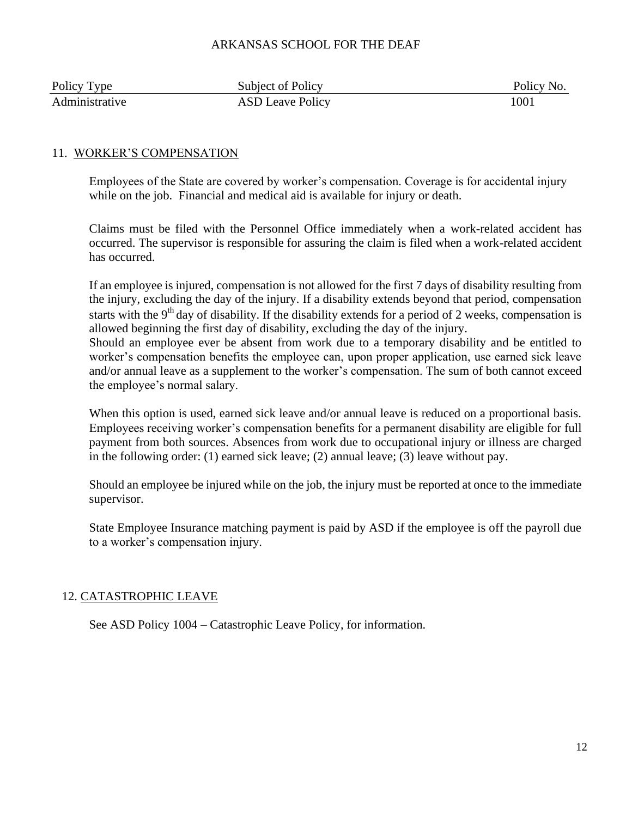| Policy Type    | Subject of Policy       | Policy No. |
|----------------|-------------------------|------------|
| Administrative | <b>ASD Leave Policy</b> | $100\,$    |

# 11. WORKER'S COMPENSATION

Employees of the State are covered by worker's compensation. Coverage is for accidental injury while on the job. Financial and medical aid is available for injury or death.

Claims must be filed with the Personnel Office immediately when a work-related accident has occurred. The supervisor is responsible for assuring the claim is filed when a work-related accident has occurred.

If an employee is injured, compensation is not allowed for the first 7 days of disability resulting from the injury, excluding the day of the injury. If a disability extends beyond that period, compensation starts with the 9<sup>th</sup> day of disability. If the disability extends for a period of 2 weeks, compensation is allowed beginning the first day of disability, excluding the day of the injury. Should an employee ever be absent from work due to a temporary disability and be entitled to

worker's compensation benefits the employee can, upon proper application, use earned sick leave and/or annual leave as a supplement to the worker's compensation. The sum of both cannot exceed the employee's normal salary.

When this option is used, earned sick leave and/or annual leave is reduced on a proportional basis. Employees receiving worker's compensation benefits for a permanent disability are eligible for full payment from both sources. Absences from work due to occupational injury or illness are charged in the following order: (1) earned sick leave; (2) annual leave; (3) leave without pay.

Should an employee be injured while on the job, the injury must be reported at once to the immediate supervisor.

State Employee Insurance matching payment is paid by ASD if the employee is off the payroll due to a worker's compensation injury.

### 12. CATASTROPHIC LEAVE

See ASD Policy 1004 – Catastrophic Leave Policy, for information.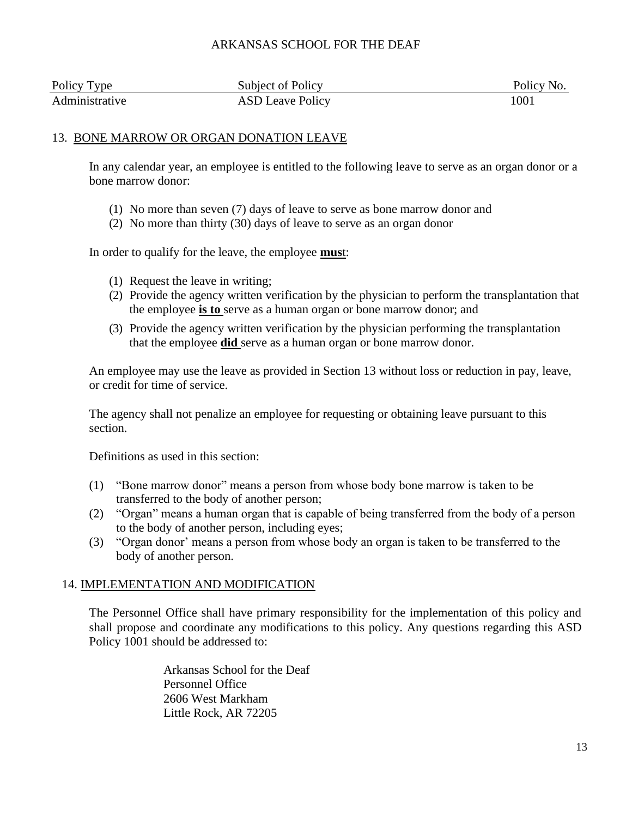| Policy Type    | Subject of Policy       | Policy No. |
|----------------|-------------------------|------------|
| Administrative | <b>ASD Leave Policy</b> | $100\,$    |

# 13. BONE MARROW OR ORGAN DONATION LEAVE

In any calendar year, an employee is entitled to the following leave to serve as an organ donor or a bone marrow donor:

- (1) No more than seven (7) days of leave to serve as bone marrow donor and
- (2) No more than thirty (30) days of leave to serve as an organ donor

In order to qualify for the leave, the employee **mus**t:

- (1) Request the leave in writing;
- (2) Provide the agency written verification by the physician to perform the transplantation that the employee **is to** serve as a human organ or bone marrow donor; and
- (3) Provide the agency written verification by the physician performing the transplantation that the employee **did** serve as a human organ or bone marrow donor.

An employee may use the leave as provided in Section 13 without loss or reduction in pay, leave, or credit for time of service.

The agency shall not penalize an employee for requesting or obtaining leave pursuant to this section.

Definitions as used in this section:

- (1) "Bone marrow donor" means a person from whose body bone marrow is taken to be transferred to the body of another person;
- (2) "Organ" means a human organ that is capable of being transferred from the body of a person to the body of another person, including eyes;
- (3) "Organ donor' means a person from whose body an organ is taken to be transferred to the body of another person.

# 14. IMPLEMENTATION AND MODIFICATION

The Personnel Office shall have primary responsibility for the implementation of this policy and shall propose and coordinate any modifications to this policy. Any questions regarding this ASD Policy 1001 should be addressed to:

> Arkansas School for the Deaf Personnel Office 2606 West Markham Little Rock, AR 72205